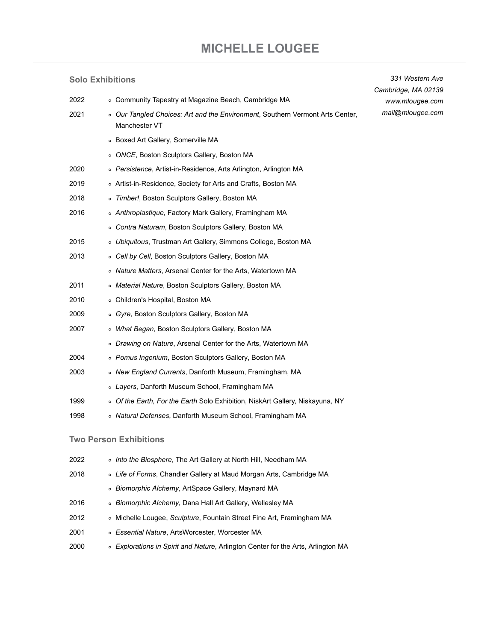# **[MICHELLE LOUGEE](https://www.mlougee.com/)**

*331 Western Ave*

### **Solo Exhibitions**

| 2022 | • Community Tapestry at Magazine Beach, Cambridge MA                             | Cambridge, MA 02139<br>www.mlougee.com |
|------|----------------------------------------------------------------------------------|----------------------------------------|
| 2021 | o Our Tangled Choices: Art and the Environment, Southern Vermont Arts Center,    | mail@mlougee.com                       |
|      | Manchester VT                                                                    |                                        |
|      | • Boxed Art Gallery, Somerville MA                                               |                                        |
|      | • ONCE, Boston Sculptors Gallery, Boston MA                                      |                                        |
| 2020 | ○ Persistence, Artist-in-Residence, Arts Arlington, Arlington MA                 |                                        |
| 2019 | o Artist-in-Residence, Society for Arts and Crafts, Boston MA                    |                                        |
| 2018 | o Timber!, Boston Sculptors Gallery, Boston MA                                   |                                        |
| 2016 | ○ Anthroplastique, Factory Mark Gallery, Framingham MA                           |                                        |
|      | ○ Contra Naturam, Boston Sculptors Gallery, Boston MA                            |                                        |
| 2015 | o Ubiquitous, Trustman Art Gallery, Simmons College, Boston MA                   |                                        |
| 2013 | ○ Cell by Cell, Boston Sculptors Gallery, Boston MA                              |                                        |
|      | • Nature Matters, Arsenal Center for the Arts, Watertown MA                      |                                        |
| 2011 | o Material Nature, Boston Sculptors Gallery, Boston MA                           |                                        |
| 2010 | • Children's Hospital, Boston MA                                                 |                                        |
| 2009 | o Gyre, Boston Sculptors Gallery, Boston MA                                      |                                        |
| 2007 | ○ What Began, Boston Sculptors Gallery, Boston MA                                |                                        |
|      | • Drawing on Nature, Arsenal Center for the Arts, Watertown MA                   |                                        |
| 2004 | • Pomus Ingenium, Boston Sculptors Gallery, Boston MA                            |                                        |
| 2003 | • New England Currents, Danforth Museum, Framingham, MA                          |                                        |
|      | ○ Layers, Danforth Museum School, Framingham MA                                  |                                        |
| 1999 | ○ Of the Earth, For the Earth Solo Exhibition, NiskArt Gallery, Niskayuna, NY    |                                        |
| 1998 | ○ Natural Defenses, Danforth Museum School, Framingham MA                        |                                        |
|      |                                                                                  |                                        |
|      | <b>Two Person Exhibitions</b>                                                    |                                        |
| 2022 | o Into the Biosphere, The Art Gallery at North Hill, Needham MA                  |                                        |
| 2018 | ○ Life of Forms, Chandler Gallery at Maud Morgan Arts, Cambridge MA              |                                        |
|      | o Biomorphic Alchemy, ArtSpace Gallery, Maynard MA                               |                                        |
| 2016 | ○ Biomorphic Alchemy, Dana Hall Art Gallery, Wellesley MA                        |                                        |
| 2012 | ○ Michelle Lougee, Sculpture, Fountain Street Fine Art, Framingham MA            |                                        |
| 2001 | ○ Essential Nature, ArtsWorcester, Worcester MA                                  |                                        |
| 2000 | ○ Explorations in Spirit and Nature, Arlington Center for the Arts, Arlington MA |                                        |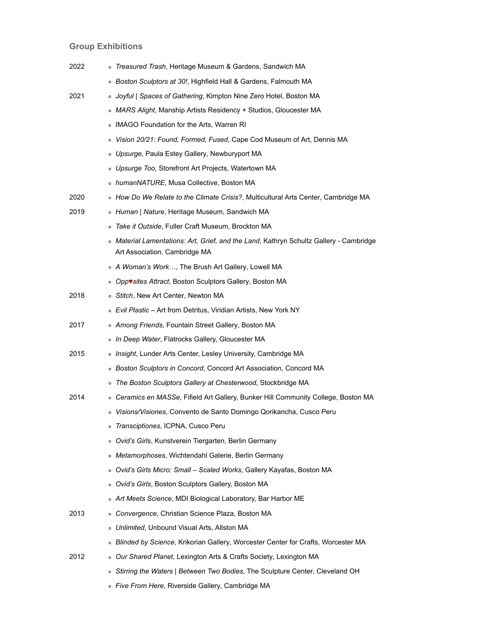## **Group Exhibitions**

| 2022 |         | o Treasured Trash, Heritage Museum & Gardens, Sandwich MA                                                               |
|------|---------|-------------------------------------------------------------------------------------------------------------------------|
|      |         | ○ Boston Sculptors at 30!, Highfield Hall & Gardens, Falmouth MA                                                        |
| 2021 |         | ∘ Joyful   Spaces of Gathering, Kimpton Nine Zero Hotel, Boston MA                                                      |
|      |         | o MARS Alight, Manship Artists Residency + Studios, Gloucester MA                                                       |
|      |         | ○ IMAGO Foundation for the Arts, Warren RI                                                                              |
|      |         | o Vision 20/21: Found, Formed, Fused, Cape Cod Museum of Art, Dennis MA                                                 |
|      |         | ○ Upsurge, Paula Estey Gallery, Newburyport MA                                                                          |
|      |         | ○ Upsurge Too, Storefront Art Projects, Watertown MA                                                                    |
|      |         | o humanNATURE, Musa Collective, Boston MA                                                                               |
| 2020 |         | ○ How Do We Relate to the Climate Crisis?, Multicultural Arts Center, Cambridge MA                                      |
| 2019 |         | • Human   Nature, Heritage Museum, Sandwich MA                                                                          |
|      |         | Take it Outside, Fuller Craft Museum, Brockton MA                                                                       |
|      |         | ∘ Material Lamentations: Art, Grief, and the Land, Kathryn Schultz Gallery - Cambridge<br>Art Association, Cambridge MA |
|      |         | ○ A Woman's Work, The Brush Art Gallery, Lowell MA                                                                      |
|      |         | o Opp vsites Attract, Boston Sculptors Gallery, Boston MA                                                               |
| 2018 |         | ○ Stitch, New Art Center, Newton MA                                                                                     |
|      |         | ∘ Evil Plastic – Art from Detritus, Viridian Artists, New York NY                                                       |
| 2017 |         | • Among Friends, Fountain Street Gallery, Boston MA                                                                     |
|      |         | ∘ In Deep Water, Flatrocks Gallery, Gloucester MA                                                                       |
| 2015 |         | ○ Insight, Lunder Arts Center, Lesley University, Cambridge MA                                                          |
|      |         | ○ Boston Sculptors in Concord, Concord Art Association, Concord MA                                                      |
|      |         | • The Boston Sculptors Gallery at Chesterwood, Stockbridge MA                                                           |
| 2014 |         | o Ceramics en MASSe, Fifield Art Gallery, Bunker Hill Community College, Boston MA                                      |
|      |         | o Visions/Visiones, Convento de Santo Domingo Qorikancha, Cusco Peru                                                    |
|      |         | Transciptiones, ICPNA, Cusco Peru                                                                                       |
|      |         | o Ovid's Girls, Kunstverein Tiergarten, Berlin Germany                                                                  |
|      |         | ○ Metamorphoses, Wichtendahl Galerie, Berlin Germany                                                                    |
|      | $\circ$ | Ovid's Girls Micro: Small - Scaled Works, Gallery Kayafas, Boston MA                                                    |
|      | $\circ$ | Ovid's Girls, Boston Sculptors Gallery, Boston MA                                                                       |
|      |         | ○ Art Meets Science, MDI Biological Laboratory, Bar Harbor ME                                                           |
| 2013 | $\circ$ | Convergence, Christian Science Plaza, Boston MA                                                                         |
|      | $\circ$ | Unlimited, Unbound Visual Arts, Allston MA                                                                              |
|      |         | ○ Blinded by Science, Krikorian Gallery, Worcester Center for Crafts, Worcester MA                                      |
| 2012 | $\circ$ | Our Shared Planet, Lexington Arts & Crafts Society, Lexington MA                                                        |
|      |         | ○ Stirring the Waters   Between Two Bodies, The Sculpture Center, Cleveland OH                                          |
|      |         |                                                                                                                         |

*Five From Here*, [Riverside Gallery](http://www.cambridgecc.org/riverside-gallery.html), Cambridge MA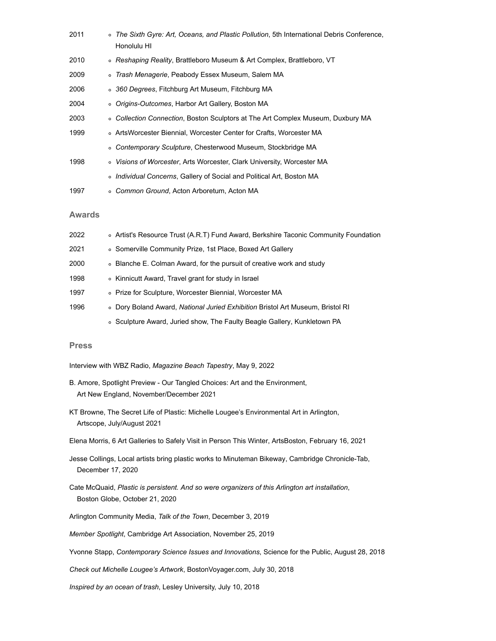| 2011          | $\circ$ | The Sixth Gyre: Art, Oceans, and Plastic Pollution, 5th International Debris Conference,<br>Honolulu HI |
|---------------|---------|---------------------------------------------------------------------------------------------------------|
| 2010          |         | ○ Reshaping Reality, Brattleboro Museum & Art Complex, Brattleboro, VT                                  |
| 2009          |         | o Trash Menagerie, Peabody Essex Museum, Salem MA                                                       |
| 2006          |         | ○ 360 Degrees, Fitchburg Art Museum, Fitchburg MA                                                       |
| 2004          |         | ○ <i>Origins-Outcomes</i> , Harbor Art Gallery, Boston MA                                               |
| 2003          | $\circ$ | Collection Connection, Boston Sculptors at The Art Complex Museum, Duxbury MA                           |
| 1999          |         | ○ ArtsWorcester Biennial, Worcester Center for Crafts, Worcester MA                                     |
|               | $\circ$ | Contemporary Sculpture, Chesterwood Museum, Stockbridge MA                                              |
| 1998          | $\circ$ | <i>Visions of Worcester, Arts Worcester, Clark University, Worcester MA</i>                             |
|               |         | o Individual Concerns, Gallery of Social and Political Art, Boston MA                                   |
| 1997          |         | o Common Ground, Acton Arboretum, Acton MA                                                              |
| <b>Awards</b> |         |                                                                                                         |
| 2022          |         | ○ Artist's Resource Trust (A.R.T) Fund Award, Berkshire Taconic Community Foundation                    |
| 2021          |         | ∘ Somerville Community Prize, 1st Place, Boxed Art Gallery                                              |
| 2000          |         | • Blanche E. Colman Award, for the pursuit of creative work and study                                   |
| 1998          |         | ∘ Kinnicutt Award, Travel grant for study in Israel                                                     |
| 1997          |         | ○ Prize for Sculpture, Worcester Biennial, Worcester MA                                                 |
| 1996          | $\circ$ | Dory Boland Award, National Juried Exhibition Bristol Art Museum, Bristol RI                            |
|               |         |                                                                                                         |

o Sculpture Award, Juried show, [The Faulty Beagle Gallery,](http://www.faultybeagle.com/) Kunkletown PA

#### **Press**

- Interview with WBZ Radio, *Magazine Beach Tapestry*, May 9, 2022
- B. Amore, [Spotlight Preview Our Tangled Choices: Art and the Environment,](https://www.mlougee.com/assets/art_new_england_202111_20.jpg) Art New England, November/December 2021
- KT Browne, [The Secret Life of Plastic: Michelle Lougee's Environmental Art in Arlington](https://artscopemagazine.com/2021/06/the-secret-life-of-plastic-michelle-lougees-environmental-art-in-arlington/), Artscope, July/August 2021
- Elena Morris, [6 Art Galleries to Safely Visit in Person This Winter,](https://artsboston.org/2021/02/16/6-art-galleries-to-safely-visit-in-person-this-winter/) ArtsBoston, February 16, 2021
- Jesse Collings, [Local artists bring plastic works to Minuteman Bikeway,](https://www.wickedlocal.com/story/cambridge-chronicle-tab/2020/12/17/local-artists-bring-plastic-works-minuteman-bikeway-arlington/3908046001/) Cambridge Chronicle-Tab, December 17, 2020
- Cate McQuaid, *[Plastic is persistent. And so were organizers of this Arlington art installation](https://www.bostonglobe.com/2020/10/21/arts/plastic-is-persistent-so-were-organizers-this-arlington-art-installation/)*, Boston Globe, October 21, 2020
- Arlington Community Media, *[Talk of the Town](https://www.youtube.com/watch?v=cBtteDFfEpU)*, December 3, 2019
- *[Member Spotlight](http://www.cambridgeart.org/member-spotlight-36/)*, Cambridge Art Association, November 25, 2019

Yvonne Stapp, *[Contemporary Science Issues and Innovations](http://www.scienceforthepublic.org/life/art-and-nature-a-special-exhibit)*, Science for the Public, August 28, 2018

*[Check out Michelle Lougee's Artwork](http://bostonvoyager.com/interview/check-michelle-lougees-artwork/)*, BostonVoyager.com, July 30, 2018

*[Inspired by an ocean of trash](https://lesley.edu/news/inspired-by-an-ocean-of-trash)*, Lesley University, July 10, 2018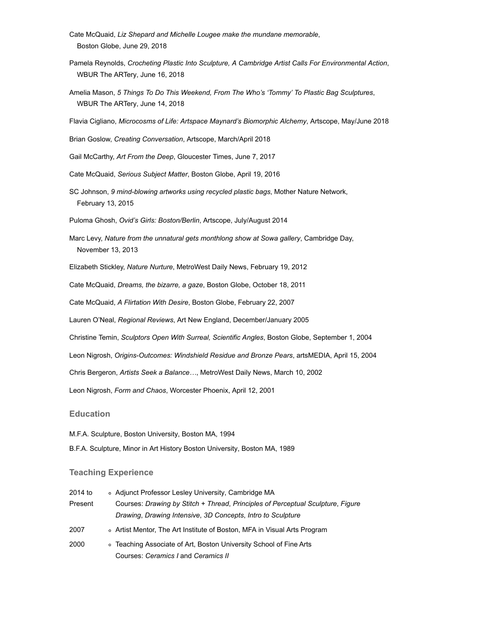- Cate McQuaid, *[Liz Shepard and Michelle Lougee make the mundane memorable](https://www.bostonglobe.com/arts/2018/06/27/liz-shepherd-and-michelle-lougee-make-mundane-memorable/V4jjssgL21A2UTgODrhvKI/story.html)*, Boston Globe, June 29, 2018
- Pamela Reynolds, *[Crocheting Plastic Into Sculpture, A Cambridge Artist Calls For Environmental Action](http://www.wbur.org/artery/2018/06/13/plastic-garbage-sculpture-michelle-lougee)*, WBUR The ARTery, June 16, 2018
- Amelia Mason, *[5 Things To Do This Weekend, From The Who's 'Tommy' To Plastic Bag Sculptures](http://www.wbur.org/artery/2018/06/14/weekend-the-who-roger-daltry-plastic-bag-sculptures-arthur-miller)*, WBUR The ARTery, June 14, 2018

Flavia Cigliano, *[Microcosms of Life: Artspace Maynard's Biomorphic Alchemy](https://artscopemagazine.com/2018/05/microcosms-of-life-artspace-maynards-biomorphic-alchemy/)*, Artscope, May/June 2018

Brian Goslow, *[Creating Conversation](https://artscopemagazine.com/2018/03/stitch-at-new-art-creating-conversation/)*, Artscope, March/April 2018

Gail McCarthy, *[Art From the Deep](http://www.gloucestertimes.com/news/the_catch/art-from-the-deep/article_83c0a1c0-edc3-5c18-aa9c-afa0a3296a18.html)*, Gloucester Times, June 7, 2017

Cate McQuaid, *[Serious Subject Matter](https://www.bostonglobe.com/arts/theater-art/2016/04/18/harbor-gallery-contradictory-views-conflict-and-recovery/c5K5NL46gcqjJB7w2Nl1RI/story.html)*, Boston Globe, April 19, 2016

SC Johnson, *[9 mind-blowing artworks using recycled plastic bags](http://www.mnn.com/your-home/at-home/sponsorphotos/mind-blowing-plastic-bag-artwork/from-the-store-to-the-sea)*, Mother Nature Network, February 13, 2015

Puloma Ghosh, *[Ovid's Girls: Boston/Berlin](https://artscopemagazine.com/2014/07/ovids-girls/)*, Artscope, July/August 2014

Marc Levy, *[Nature from the unnatural gets monthlong show at Sowa gallery](http://www.cambridgeday.com/2013/11/13/nature-from-the-unnatural-gets-monthlong-show-at-sowa-gallery/)*, Cambridge Day, November 13, 2013

Elizabeth Stickley, *[Nature Nurture](http://www.metrowestdailynews.com/news/x219669591/Nature-nurture-at-Fountain-Street-Fine-Arts)*, MetroWest Daily News, February 19, 2012

Cate McQuaid, *[Dreams, the bizarre, a gaze](http://www.bostonglobe.com/arts/theater-art/2011/10/18/galleries-review-what-showing-area-art-galleries/RBTEAGUesrNKdy1WvYIJ3I/story.html)*, Boston Globe, October 18, 2011

Cate McQuaid, *[A Flirtation With Desire](http://www.boston.com/ae/theater_arts/articles/2007/02/22/a_flirtation_with_desire/)*, Boston Globe, February 22, 2007

Lauren O'Neal, *Regional Reviews*, Art New England, December/January 2005

Christine Temin, *[Sculptors Open With Surreal, Scientific Angles](http://www.boston.com/news/globe/living/articles/2004/09/01/sculptors_open_with_surreal_scientific_angles/)*, Boston Globe, September 1, 2004

Leon Nigrosh, *[Origins-Outcomes: Windshield Residue and Bronze Pears](http://media.www.umassmedia.com/media/storage/paper445/news/2004/04/15/Arts/OriginsOutcomes.Windshield.Residue.And.Bronze.Pears-661420.shtml)*, artsMEDIA, April 15, 2004

Chris Bergeron, *Artists Seek a Balance…*, MetroWest Daily News, March 10, 2002

Leon Nigrosh, *[Form and Chaos](http://www.worcesterphoenix.com/archive/art/01/04/12/ARTS_WORCESTER.html)*, Worcester Phoenix, April 12, 2001

#### **Education**

M.F.A. Sculpture, [Boston University,](https://www.bu.edu/cfa/current-students/visual/) Boston MA, 1994

B.F.A. Sculpture, Minor in Art History [Boston University,](https://www.bu.edu/cfa/current-students/visual/) Boston MA, 1989

#### **Teaching Experience**

| 2014 to | o Adjunct Professor Lesley University, Cambridge MA                             |
|---------|---------------------------------------------------------------------------------|
| Present | Courses: Drawing by Stitch + Thread, Principles of Perceptual Sculpture, Figure |
|         | Drawing, Drawing Intensive, 3D Concepts, Intro to Sculpture                     |
| 2007    | • Artist Mentor, The Art Institute of Boston, MFA in Visual Arts Program        |
| 2000    | • Teaching Associate of Art, Boston University School of Fine Arts              |
|         | Courses: Ceramics I and Ceramics II                                             |